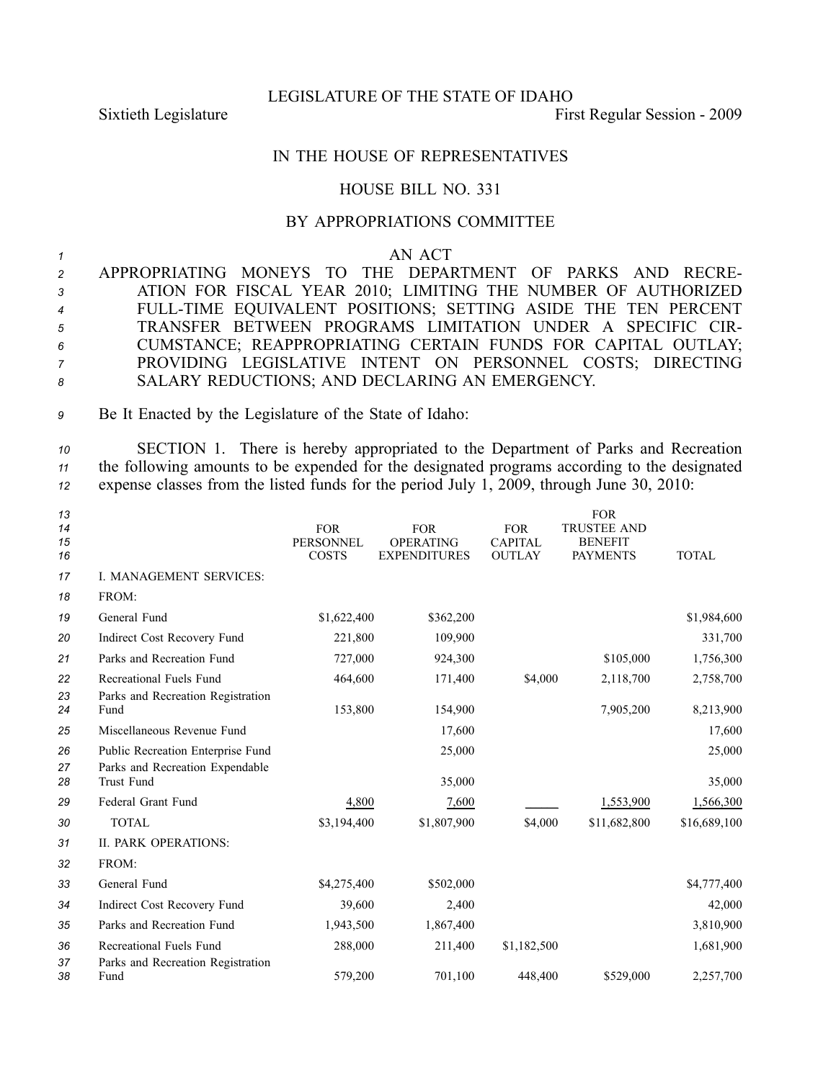LEGISLATURE OF THE STATE OF IDAHO

Sixtieth Legislature First Regular Session - 2009

## IN THE HOUSE OF REPRESENTATIVES

## HOUSE BILL NO. 331

## BY APPROPRIATIONS COMMITTEE

*1* AN ACT

 APPROPRIATING MONEYS TO THE DEPARTMENT OF PARKS AND RECRE- ATION FOR FISCAL YEAR 2010; LIMITING THE NUMBER OF AUTHORIZED FULLTIME EQUIVALENT POSITIONS; SETTING ASIDE THE TEN PERCENT TRANSFER BETWEEN PROGRAMS LIMITATION UNDER A SPECIFIC CIR- CUMSTANCE; REAPPROPRIATING CERTAIN FUNDS FOR CAPITAL OUTLAY; PROVIDING LEGISLATIVE INTENT ON PERSONNEL COSTS; DIRECTING SALARY REDUCTIONS; AND DECLARING AN EMERGENCY.

*<sup>9</sup>* Be It Enacted by the Legislature of the State of Idaho:

*<sup>10</sup>* SECTION 1. There is hereby appropriated to the Department of Parks and Recreation *<sup>11</sup>* the following amounts to be expended for the designated programs according to the designated *<sup>12</sup>* expense classes from the listed funds for the period July 1, 2009, through June 30, 2010:

| 13<br>14<br>15<br>16 |                                                              | <b>FOR</b><br><b>PERSONNEL</b><br><b>COSTS</b> | <b>FOR</b><br><b>OPERATING</b><br><b>EXPENDITURES</b> | <b>FOR</b><br><b>CAPITAL</b><br><b>OUTLAY</b> | <b>FOR</b><br><b>TRUSTEE AND</b><br><b>BENEFIT</b><br><b>PAYMENTS</b> | <b>TOTAL</b> |
|----------------------|--------------------------------------------------------------|------------------------------------------------|-------------------------------------------------------|-----------------------------------------------|-----------------------------------------------------------------------|--------------|
| 17                   | I. MANAGEMENT SERVICES:                                      |                                                |                                                       |                                               |                                                                       |              |
| 18                   | FROM:                                                        |                                                |                                                       |                                               |                                                                       |              |
| 19                   | General Fund                                                 | \$1,622,400                                    | \$362,200                                             |                                               |                                                                       | \$1,984,600  |
| 20                   | Indirect Cost Recovery Fund                                  | 221,800                                        | 109,900                                               |                                               |                                                                       | 331,700      |
| 21                   | Parks and Recreation Fund                                    | 727,000                                        | 924,300                                               |                                               | \$105,000                                                             | 1,756,300    |
| 22                   | Recreational Fuels Fund                                      | 464,600                                        | 171,400                                               | \$4,000                                       | 2,118,700                                                             | 2,758,700    |
| 23<br>24             | Parks and Recreation Registration<br>Fund                    | 153,800                                        | 154,900                                               |                                               | 7,905,200                                                             | 8,213,900    |
| 25                   | Miscellaneous Revenue Fund                                   |                                                | 17,600                                                |                                               |                                                                       | 17,600       |
| 26                   | Public Recreation Enterprise Fund                            |                                                | 25,000                                                |                                               |                                                                       | 25,000       |
| 27<br>28             | Parks and Recreation Expendable<br>Trust Fund                |                                                | 35,000                                                |                                               |                                                                       | 35,000       |
| 29                   | Federal Grant Fund                                           | 4,800                                          | 7,600                                                 |                                               | 1,553,900                                                             | 1,566,300    |
| 30                   | <b>TOTAL</b>                                                 | \$3,194,400                                    | \$1,807,900                                           | \$4,000                                       | \$11,682,800                                                          | \$16,689,100 |
| 31                   | <b>II. PARK OPERATIONS:</b>                                  |                                                |                                                       |                                               |                                                                       |              |
| 32                   | FROM:                                                        |                                                |                                                       |                                               |                                                                       |              |
| 33                   | General Fund                                                 | \$4,275,400                                    | \$502,000                                             |                                               |                                                                       | \$4,777,400  |
| 34                   | Indirect Cost Recovery Fund                                  | 39,600                                         | 2,400                                                 |                                               |                                                                       | 42,000       |
| 35                   | Parks and Recreation Fund                                    | 1,943,500                                      | 1,867,400                                             |                                               |                                                                       | 3,810,900    |
| 36<br>37             | Recreational Fuels Fund<br>Parks and Recreation Registration | 288,000                                        | 211,400                                               | \$1,182,500                                   |                                                                       | 1,681,900    |
| 38                   | Fund                                                         | 579,200                                        | 701,100                                               | 448,400                                       | \$529,000                                                             | 2,257,700    |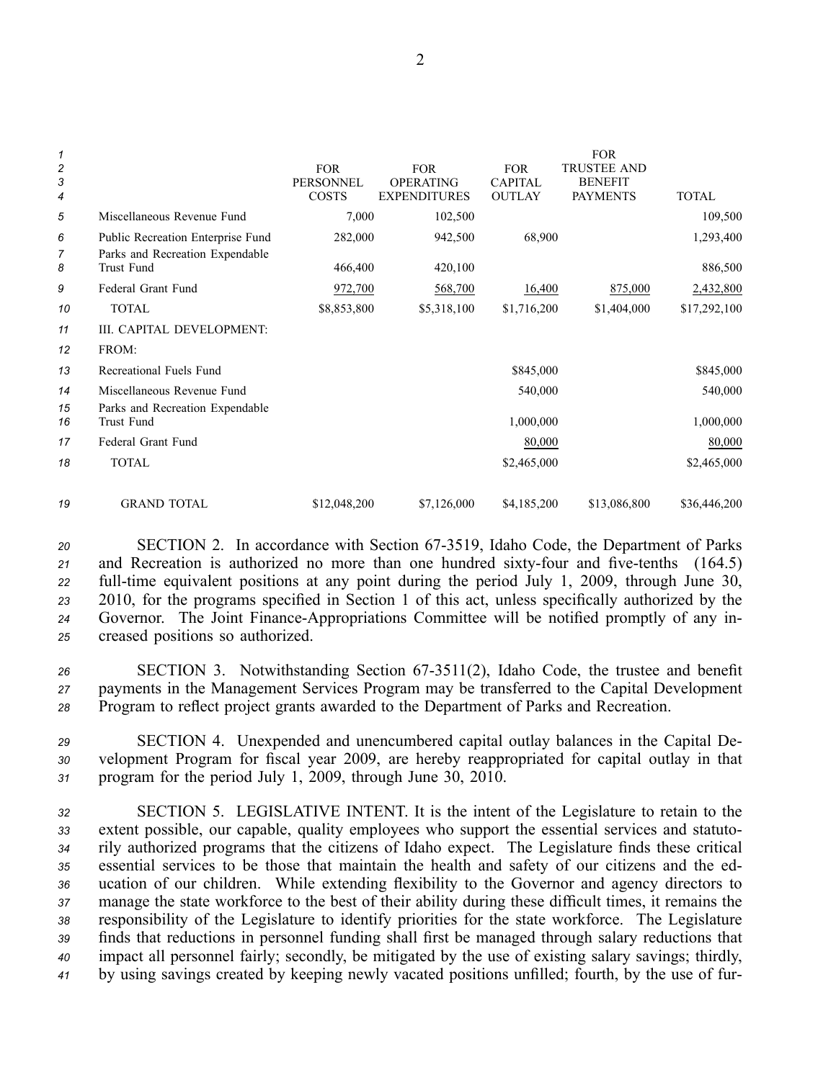| 1<br>2<br>3    |                                               | <b>FOR</b><br><b>PERSONNEL</b> | <b>FOR</b><br><b>OPERATING</b> | <b>FOR</b><br><b>CAPITAL</b> | <b>FOR</b><br><b>TRUSTEE AND</b><br><b>BENEFIT</b> |              |
|----------------|-----------------------------------------------|--------------------------------|--------------------------------|------------------------------|----------------------------------------------------|--------------|
| $\overline{4}$ |                                               | <b>COSTS</b>                   | <b>EXPENDITURES</b>            | <b>OUTLAY</b>                | <b>PAYMENTS</b>                                    | <b>TOTAL</b> |
| 5              | Miscellaneous Revenue Fund                    | 7,000                          | 102,500                        |                              |                                                    | 109,500      |
| 6              | Public Recreation Enterprise Fund             | 282,000                        | 942,500                        | 68,900                       |                                                    | 1,293,400    |
| 7<br>8         | Parks and Recreation Expendable<br>Trust Fund | 466,400                        | 420,100                        |                              |                                                    | 886,500      |
| 9              | Federal Grant Fund                            | 972,700                        | 568,700                        | 16,400                       | 875,000                                            | 2,432,800    |
| 10             | <b>TOTAL</b>                                  | \$8,853,800                    | \$5,318,100                    | \$1,716,200                  | \$1,404,000                                        | \$17,292,100 |
| 11             | III. CAPITAL DEVELOPMENT:                     |                                |                                |                              |                                                    |              |
| 12             | FROM:                                         |                                |                                |                              |                                                    |              |
| 13             | Recreational Fuels Fund                       |                                |                                | \$845,000                    |                                                    | \$845,000    |
| 14             | Miscellaneous Revenue Fund                    |                                |                                | 540,000                      |                                                    | 540,000      |
| 15<br>16       | Parks and Recreation Expendable<br>Trust Fund |                                |                                | 1,000,000                    |                                                    | 1,000,000    |
| 17             | Federal Grant Fund                            |                                |                                | 80,000                       |                                                    | 80,000       |
|                |                                               |                                |                                |                              |                                                    |              |
| 18             | <b>TOTAL</b>                                  |                                |                                | \$2,465,000                  |                                                    | \$2,465,000  |
| 19             | <b>GRAND TOTAL</b>                            | \$12,048,200                   | \$7,126,000                    | \$4,185,200                  | \$13,086,800                                       | \$36,446,200 |

 SECTION 2. In accordance with Section 673519, Idaho Code, the Department of Parks 21 and Recreation is authorized no more than one hundred sixty-four and five-tenths (164.5) full-time equivalent positions at any point during the period July 1, 2009, through June 30, 2010, for the programs specified in Section 1 of this act, unless specifically authorized by the 24 Governor. The Joint Finance-Appropriations Committee will be notified promptly of any in-creased positions so authorized.

26 SECTION 3. Notwithstanding Section 67-3511(2), Idaho Code, the trustee and benefit *<sup>27</sup>* payments in the Management Services Program may be transferred to the Capital Development *<sup>28</sup>* Program to reflect project grants awarded to the Department of Parks and Recreation.

*<sup>29</sup>* SECTION 4. Unexpended and unencumbered capital outlay balances in the Capital De-*<sup>30</sup>* velopment Program for fiscal year 2009, are hereby reappropriated for capital outlay in that *<sup>31</sup>* program for the period July 1, 2009, through June 30, 2010.

 SECTION 5. LEGISLATIVE INTENT. It is the intent of the Legislature to retain to the extent possible, our capable, quality employees who suppor<sup>t</sup> the essential services and statuto- rily authorized programs that the citizens of Idaho expect. The Legislature finds these critical essential services to be those that maintain the health and safety of our citizens and the ed- ucation of our children. While extending flexibility to the Governor and agency directors to manage the state workforce to the best of their ability during these difficult times, it remains the responsibility of the Legislature to identify priorities for the state workforce. The Legislature finds that reductions in personnel funding shall first be managed through salary reductions that impact all personnel fairly; secondly, be mitigated by the use of existing salary savings; thirdly, by using savings created by keeping newly vacated positions unfilled; fourth, by the use of fur